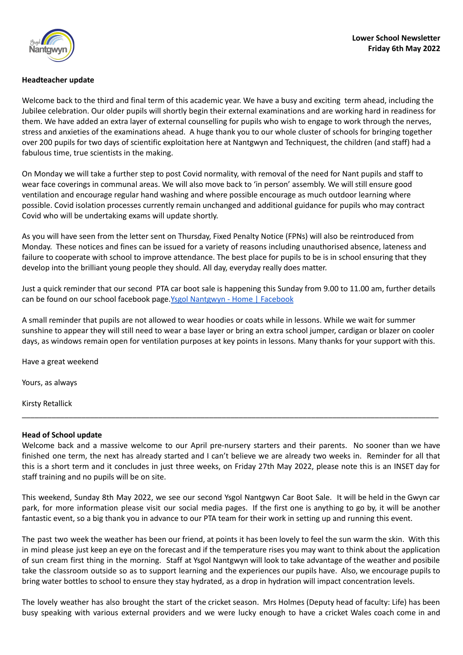

### **Headteacher update**

Welcome back to the third and final term of this academic year. We have a busy and exciting term ahead, including the Jubilee celebration. Our older pupils will shortly begin their external examinations and are working hard in readiness for them. We have added an extra layer of external counselling for pupils who wish to engage to work through the nerves, stress and anxieties of the examinations ahead. A huge thank you to our whole cluster of schools for bringing together over 200 pupils for two days of scientific exploitation here at Nantgwyn and Techniquest, the children (and staff) had a fabulous time, true scientists in the making.

On Monday we will take a further step to post Covid normality, with removal of the need for Nant pupils and staff to wear face coverings in communal areas. We will also move back to 'in person' assembly. We will still ensure good ventilation and encourage regular hand washing and where possible encourage as much outdoor learning where possible. Covid isolation processes currently remain unchanged and additional guidance for pupils who may contract Covid who will be undertaking exams will update shortly.

As you will have seen from the letter sent on Thursday, Fixed Penalty Notice (FPNs) will also be reintroduced from Monday. These notices and fines can be issued for a variety of reasons including unauthorised absence, lateness and failure to cooperate with school to improve attendance. The best place for pupils to be is in school ensuring that they develop into the brilliant young people they should. All day, everyday really does matter.

Just a quick reminder that our second PTA car boot sale is happening this Sunday from 9.00 to 11.00 am, further details can be found on our school facebook page. Ysgol [Nantgwyn](https://www.facebook.com/nantgwyn/) - Home | Facebook

A small reminder that pupils are not allowed to wear hoodies or coats while in lessons. While we wait for summer sunshine to appear they will still need to wear a base layer or bring an extra school jumper, cardigan or blazer on cooler days, as windows remain open for ventilation purposes at key points in lessons. Many thanks for your support with this.

Have a great weekend

Yours, as always

Kirsty Retallick

#### **Head of School update**

Welcome back and a massive welcome to our April pre-nursery starters and their parents. No sooner than we have finished one term, the next has already started and I can't believe we are already two weeks in. Reminder for all that this is a short term and it concludes in just three weeks, on Friday 27th May 2022, please note this is an INSET day for staff training and no pupils will be on site.

\_\_\_\_\_\_\_\_\_\_\_\_\_\_\_\_\_\_\_\_\_\_\_\_\_\_\_\_\_\_\_\_\_\_\_\_\_\_\_\_\_\_\_\_\_\_\_\_\_\_\_\_\_\_\_\_\_\_\_\_\_\_\_\_\_\_\_\_\_\_\_\_\_\_\_\_\_\_\_\_\_\_\_\_\_\_\_\_\_\_\_\_\_\_\_\_\_\_

This weekend, Sunday 8th May 2022, we see our second Ysgol Nantgwyn Car Boot Sale. It will be held in the Gwyn car park, for more information please visit our social media pages. If the first one is anything to go by, it will be another fantastic event, so a big thank you in advance to our PTA team for their work in setting up and running this event.

The past two week the weather has been our friend, at points it has been lovely to feel the sun warm the skin. With this in mind please just keep an eye on the forecast and if the temperature rises you may want to think about the application of sun cream first thing in the morning. Staff at Ysgol Nantgwyn will look to take advantage of the weather and posibile take the classroom outside so as to support learning and the experiences our pupils have. Also, we encourage pupils to bring water bottles to school to ensure they stay hydrated, as a drop in hydration will impact concentration levels.

The lovely weather has also brought the start of the cricket season. Mrs Holmes (Deputy head of faculty: Life) has been busy speaking with various external providers and we were lucky enough to have a cricket Wales coach come in and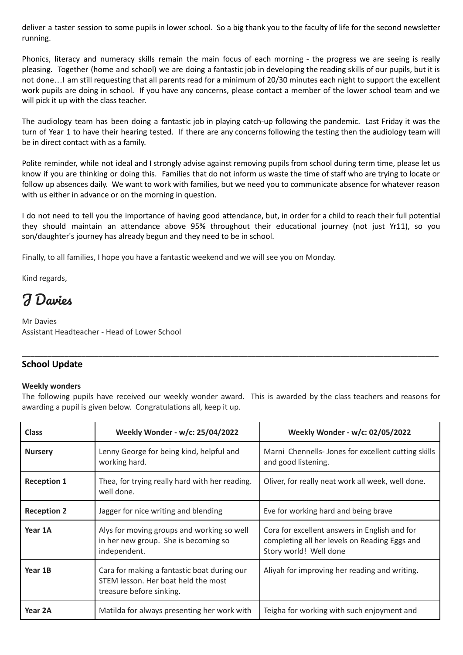deliver a taster session to some pupils in lower school. So a big thank you to the faculty of life for the second newsletter running.

Phonics, literacy and numeracy skills remain the main focus of each morning - the progress we are seeing is really pleasing. Together (home and school) we are doing a fantastic job in developing the reading skills of our pupils, but it is not done…I am still requesting that all parents read for a minimum of 20/30 minutes each night to support the excellent work pupils are doing in school. If you have any concerns, please contact a member of the lower school team and we will pick it up with the class teacher.

The audiology team has been doing a fantastic job in playing catch-up following the pandemic. Last Friday it was the turn of Year 1 to have their hearing tested. If there are any concerns following the testing then the audiology team will be in direct contact with as a family.

Polite reminder, while not ideal and I strongly advise against removing pupils from school during term time, please let us know if you are thinking or doing this. Families that do not inform us waste the time of staff who are trying to locate or follow up absences daily. We want to work with families, but we need you to communicate absence for whatever reason with us either in advance or on the morning in question.

I do not need to tell you the importance of having good attendance, but, in order for a child to reach their full potential they should maintain an attendance above 95% throughout their educational journey (not just Yr11), so you son/daughter's journey has already begun and they need to be in school.

Finally, to all families, I hope you have a fantastic weekend and we will see you on Monday.

Kind regards,

# J Davies

Mr Davies Assistant Headteacher - Head of Lower School

## **School Update**

## **Weekly wonders**

The following pupils have received our weekly wonder award. This is awarded by the class teachers and reasons for awarding a pupil is given below. Congratulations all, keep it up.

\_\_\_\_\_\_\_\_\_\_\_\_\_\_\_\_\_\_\_\_\_\_\_\_\_\_\_\_\_\_\_\_\_\_\_\_\_\_\_\_\_\_\_\_\_\_\_\_\_\_\_\_\_\_\_\_\_\_\_\_\_\_\_\_\_\_\_\_\_\_\_\_\_\_\_\_\_\_\_\_\_\_\_\_\_\_\_\_\_\_\_\_\_\_\_\_\_\_

| <b>Class</b>       | Weekly Wonder - w/c: 25/04/2022                                                                                | Weekly Wonder - w/c: 02/05/2022                                                                                          |  |  |
|--------------------|----------------------------------------------------------------------------------------------------------------|--------------------------------------------------------------------------------------------------------------------------|--|--|
| <b>Nursery</b>     | Lenny George for being kind, helpful and<br>working hard.                                                      | Marni Chennells-Jones for excellent cutting skills<br>and good listening.                                                |  |  |
| <b>Reception 1</b> | Thea, for trying really hard with her reading.<br>well done.                                                   | Oliver, for really neat work all week, well done.                                                                        |  |  |
| <b>Reception 2</b> | Jagger for nice writing and blending                                                                           | Eve for working hard and being brave                                                                                     |  |  |
| Year 1A            | Alys for moving groups and working so well<br>in her new group. She is becoming so<br>independent.             | Cora for excellent answers in English and for<br>completing all her levels on Reading Eggs and<br>Story world! Well done |  |  |
| Year 1B            | Cara for making a fantastic boat during our<br>STEM lesson. Her boat held the most<br>treasure before sinking. | Aliyah for improving her reading and writing.                                                                            |  |  |
| Year 2A            | Matilda for always presenting her work with                                                                    | Teigha for working with such enjoyment and                                                                               |  |  |